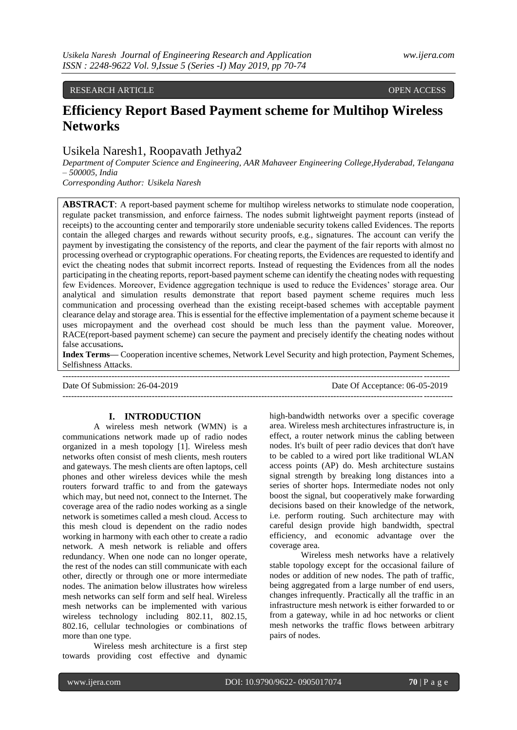## RESEARCH ARTICLE OPEN ACCESS

# **Efficiency Report Based Payment scheme for Multihop Wireless Networks**

# Usikela Naresh1, Roopavath Jethya2

*Department of Computer Science and Engineering, AAR Mahaveer Engineering College,Hyderabad, Telangana – 500005, India* 

*Corresponding Author: Usikela Naresh* 

**ABSTRACT**: A report-based payment scheme for multihop wireless networks to stimulate node cooperation, regulate packet transmission, and enforce fairness. The nodes submit lightweight payment reports (instead of receipts) to the accounting center and temporarily store undeniable security tokens called Evidences. The reports contain the alleged charges and rewards without security proofs, e.g., signatures. The account can verify the payment by investigating the consistency of the reports, and clear the payment of the fair reports with almost no processing overhead or cryptographic operations. For cheating reports, the Evidences are requested to identify and evict the cheating nodes that submit incorrect reports. Instead of requesting the Evidences from all the nodes participating in the cheating reports, report-based payment scheme can identify the cheating nodes with requesting few Evidences. Moreover, Evidence aggregation technique is used to reduce the Evidences' storage area. Our analytical and simulation results demonstrate that report based payment scheme requires much less communication and processing overhead than the existing receipt-based schemes with acceptable payment clearance delay and storage area. This is essential for the effective implementation of a payment scheme because it uses micropayment and the overhead cost should be much less than the payment value. Moreover, RACE(report-based payment scheme) can secure the payment and precisely identify the cheating nodes without false accusations**.**

**Index Terms—** Cooperation incentive schemes, Network Level Security and high protection, Payment Schemes, Selfishness Attacks. --------------------------------------------------------------------------------------------------------------------------------------

---------------------------------------------------------------------------------------------------------------------------------------

Date Of Submission: 26-04-2019 Date Of Acceptance: 06-05-2019

**I. INTRODUCTION**

A wireless mesh network (WMN) is a communications network made up of radio nodes organized in a mesh topology [1]. Wireless mesh networks often consist of mesh clients, mesh routers and gateways. The mesh clients are often laptops, cell phones and other wireless devices while the mesh routers forward traffic to and from the gateways which may, but need not, connect to the Internet. The coverage area of the radio nodes working as a single network is sometimes called a mesh cloud. Access to this mesh cloud is dependent on the radio nodes working in harmony with each other to create a radio network. A mesh network is reliable and offers redundancy. When one node can no longer operate, the rest of the nodes can still communicate with each other, directly or through one or more intermediate nodes. The animation below illustrates how wireless mesh networks can self form and self heal. Wireless mesh networks can be implemented with various wireless technology including 802.11, 802.15, 802.16, cellular technologies or combinations of more than one type.

Wireless mesh architecture is a first step towards providing cost effective and dynamic

high-bandwidth networks over a specific coverage area. Wireless mesh architectures infrastructure is, in effect, a router network minus the cabling between nodes. It's built of peer radio devices that don't have to be cabled to a wired port like traditional WLAN access points (AP) do. Mesh architecture sustains signal strength by breaking long distances into a series of shorter hops. Intermediate nodes not only boost the signal, but cooperatively make forwarding decisions based on their knowledge of the network, i.e. perform routing. Such architecture may with careful design provide high bandwidth, spectral efficiency, and economic advantage over the coverage area.

Wireless mesh networks have a relatively stable topology except for the occasional failure of nodes or addition of new nodes. The path of traffic, being aggregated from a large number of end users, changes infrequently. Practically all the traffic in an infrastructure mesh network is either forwarded to or from a gateway, while in ad hoc networks or client mesh networks the traffic flows between arbitrary pairs of nodes.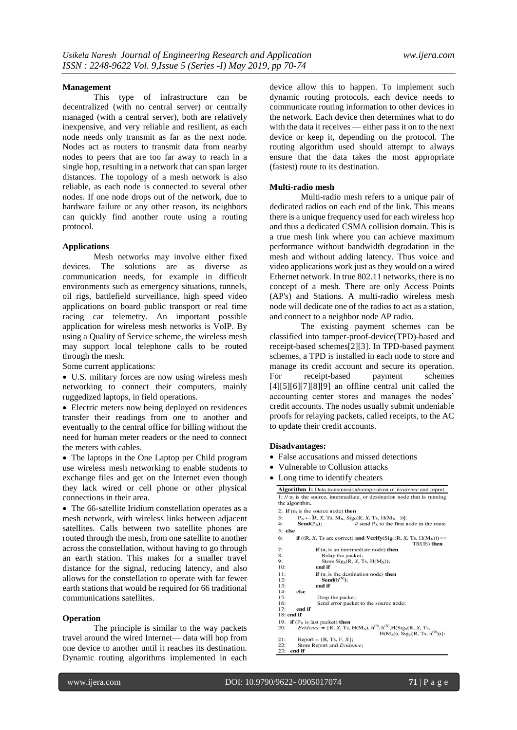#### **Management**

This type of infrastructure can be decentralized (with no central server) or centrally managed (with a central server), both are relatively inexpensive, and very reliable and resilient, as each node needs only transmit as far as the next node. Nodes act as routers to transmit data from nearby nodes to peers that are too far away to reach in a single hop, resulting in a network that can span larger distances. The topology of a mesh network is also reliable, as each node is connected to several other nodes. If one node drops out of the network, due to hardware failure or any other reason, its neighbors can quickly find another route using a routing protocol.

#### **Applications**

Mesh networks may involve either fixed devices. The solutions are as diverse as communication needs, for example in difficult environments such as emergency situations, tunnels, oil rigs, battlefield surveillance, high speed video applications on board public transport or real time racing car telemetry. An important possible application for wireless mesh networks is VoIP. By using a Quality of Service scheme, the wireless mesh may support local telephone calls to be routed through the mesh.

Some current applications:

 U.S. military forces are now using wireless mesh networking to connect their computers, mainly ruggedized laptops, in field operations.

• Electric meters now being deployed on residences transfer their readings from one to another and eventually to the central office for billing without the need for human meter readers or the need to connect the meters with cables.

 The laptops in the One Laptop per Child program use wireless mesh networking to enable students to exchange files and get on the Internet even though they lack wired or cell phone or other physical connections in their area.

• The 66-satellite Iridium constellation operates as a mesh network, with wireless links between adjacent satellites. Calls between two satellite phones are routed through the mesh, from one satellite to another across the constellation, without having to go through an earth station. This makes for a smaller travel distance for the signal, reducing latency, and also allows for the constellation to operate with far fewer earth stations that would be required for 66 traditional communications satellites.

#### **Operation**

The principle is similar to the way packets travel around the wired Internet— data will hop from one device to another until it reaches its destination. Dynamic routing algorithms implemented in each device allow this to happen. To implement such dynamic routing protocols, each device needs to communicate routing information to other devices in the network. Each device then determines what to do with the data it receives — either pass it on to the next device or keep it, depending on the protocol. The routing algorithm used should attempt to always ensure that the data takes the most appropriate (fastest) route to its destination.

#### **Multi-radio mesh**

Multi-radio mesh refers to a unique pair of dedicated radios on each end of the link. This means there is a unique frequency used for each wireless hop and thus a dedicated CSMA collision domain. This is a true mesh link where you can achieve maximum performance without bandwidth degradation in the mesh and without adding latency. Thus voice and video applications work just as they would on a wired Ethernet network. In true 802.11 networks, there is no concept of a mesh. There are only Access Points (AP's) and Stations. A multi-radio wireless mesh node will dedicate one of the radios to act as a station, and connect to a neighbor node AP radio.

The existing payment schemes can be classified into tamper-proof-device(TPD)-based and receipt-based schemes[2][3]. In TPD-based payment schemes, a TPD is installed in each node to store and manage its credit account and secure its operation. For receipt-based payment schemes  $[4][5][6][7][8][9]$  an offline central unit called the accounting center stores and manages the nodes' credit accounts. The nodes usually submit undeniable proofs for relaying packets, called receipts, to the AC to update their credit accounts.

## **Disadvantages:**

- False accusations and missed detections
- Vulnerable to Collusion attacks
- Long time to identify cheaters

|         | <b>Algorithm 1:</b> Data transmission/composition of <i>Evidence</i> and report                                        |  |  |  |
|---------|------------------------------------------------------------------------------------------------------------------------|--|--|--|
|         | 1: $// n_i$ is the source, intermediate, or destination node that is running<br>the algorithm.                         |  |  |  |
|         | 2: if $(n_i)$ is the source node) then                                                                                 |  |  |  |
| 3:      | $P_X \leftarrow [R, X, Ts, M_X, Sig_S(R, X, Ts, H(M_X))];$                                                             |  |  |  |
| 4:      | $\text{Send}(P_X);$<br>$\frac{1}{2}$ send P <sub>x</sub> to the first node in the route                                |  |  |  |
| 5: else |                                                                                                                        |  |  |  |
| 6:      | <b>if</b> ((R, X, Ts are correct) <b>and Verify</b> (Sig <sub>S</sub> (R, X, Ts, H(M <sub>X</sub> ))) ==<br>TRUE) then |  |  |  |
| 7:      | if $(n_i)$ is an intermediate node) then                                                                               |  |  |  |
| 8:      | Relay the packet;                                                                                                      |  |  |  |
| 9:      | Store Sig <sub>s</sub> $(R, X, Ts, H(M_X))$ ;                                                                          |  |  |  |
| 10:     | end if                                                                                                                 |  |  |  |
| 11:     | if $(n_i)$ is the destination node) then                                                                               |  |  |  |
| 12:     | Send $(h^{(X)})$ :                                                                                                     |  |  |  |
| 13:     | end if                                                                                                                 |  |  |  |
| 14:     | else                                                                                                                   |  |  |  |
| 15:     | Drop the packet;                                                                                                       |  |  |  |
| 16:     | Send error packet to the source node;                                                                                  |  |  |  |
| 17:     | end if                                                                                                                 |  |  |  |
|         | 18: end if                                                                                                             |  |  |  |
| 19:     | <b>if</b> $(P_X$ is last packet) <b>then</b>                                                                           |  |  |  |
| 20:     |                                                                                                                        |  |  |  |
|         | $Evidence = {R, X, Ts, H(M_X), h^{(0)}, h^{(X)}, H(Sigs(R, X, Ts, H(M_X)), Sig_D(R, Ts, h^{(0)}))};$                   |  |  |  |
| 21:     | Report = ${R, Ts, F, X}$ ;                                                                                             |  |  |  |

Store Report and Evidence;

end if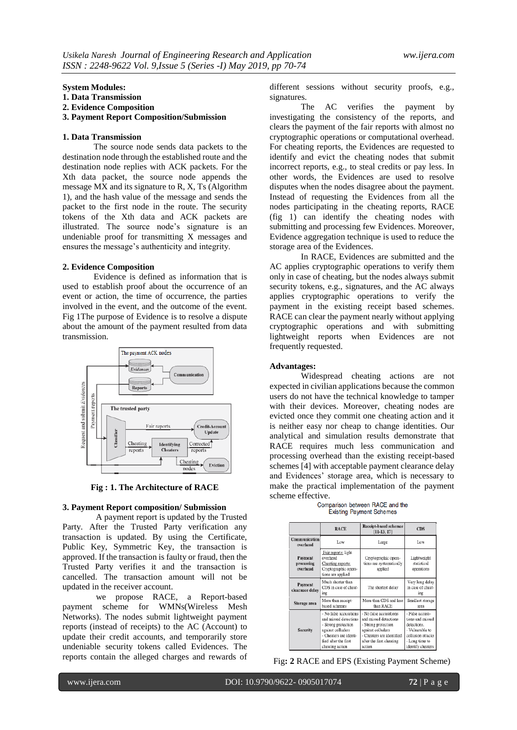#### **System Modules:**

- **1. Data Transmission**
- **2. Evidence Composition**
- **3. Payment Report Composition/Submission**

## **1. Data Transmission**

The source node sends data packets to the destination node through the established route and the destination node replies with ACK packets. For the Xth data packet, the source node appends the message MX and its signature to R, X, Ts (Algorithm 1), and the hash value of the message and sends the packet to the first node in the route. The security tokens of the Xth data and ACK packets are illustrated. The source node's signature is an undeniable proof for transmitting X messages and ensures the message's authenticity and integrity.

## **2. Evidence Composition**

Evidence is defined as information that is used to establish proof about the occurrence of an event or action, the time of occurrence, the parties involved in the event, and the outcome of the event. Fig 1The purpose of Evidence is to resolve a dispute about the amount of the payment resulted from data transmission.



## **Fig : 1. The Architecture of RACE**

#### **3. Payment Report composition/ Submission**

A payment report is updated by the Trusted Party. After the Trusted Party verification any transaction is updated. By using the Certificate, Public Key, Symmetric Key, the transaction is approved. If the transaction is faulty or fraud, then the Trusted Party verifies it and the transaction is cancelled. The transaction amount will not be updated in the receiver account.

we propose RACE, a Report-based payment scheme for WMNs(Wireless Mesh Networks). The nodes submit lightweight payment reports (instead of receipts) to the AC (Account) to update their credit accounts, and temporarily store undeniable security tokens called Evidences. The reports contain the alleged charges and rewards of different sessions without security proofs, e.g., signatures.

The AC verifies the payment by investigating the consistency of the reports, and clears the payment of the fair reports with almost no cryptographic operations or computational overhead. For cheating reports, the Evidences are requested to identify and evict the cheating nodes that submit incorrect reports, e.g., to steal credits or pay less. In other words, the Evidences are used to resolve disputes when the nodes disagree about the payment. Instead of requesting the Evidences from all the nodes participating in the cheating reports, RACE (fig 1) can identify the cheating nodes with submitting and processing few Evidences. Moreover, Evidence aggregation technique is used to reduce the storage area of the Evidences.

In RACE, Evidences are submitted and the AC applies cryptographic operations to verify them only in case of cheating, but the nodes always submit security tokens, e.g., signatures, and the AC always applies cryptographic operations to verify the payment in the existing receipt based schemes. RACE can clear the payment nearly without applying cryptographic operations and with submitting lightweight reports when Evidences are not frequently requested.

## **Advantages:**

Widespread cheating actions are not expected in civilian applications because the common users do not have the technical knowledge to tamper with their devices. Moreover, cheating nodes are evicted once they commit one cheating action and it is neither easy nor cheap to change identities. Our analytical and simulation results demonstrate that RACE requires much less communication and processing overhead than the existing receipt-based schemes [4] with acceptable payment clearance delay and Evidences' storage area, which is necessary to make the practical implementation of the payment scheme effective.<br>Comparison between RACE and the

**Existing Payment Schemes** 

|                                   | <b>RACE</b>                                                                                                                                                      | Receipt-based schemes<br>$[11-13, 17]$                                                                                                                         | <b>CDS</b>                                                                                                                        |
|-----------------------------------|------------------------------------------------------------------------------------------------------------------------------------------------------------------|----------------------------------------------------------------------------------------------------------------------------------------------------------------|-----------------------------------------------------------------------------------------------------------------------------------|
| <b>Communication</b><br>overhead  | Low                                                                                                                                                              | Large                                                                                                                                                          | Low                                                                                                                               |
| Payment<br>processing<br>overhead | Fair reports: light<br>overhead<br>Cheating reports:<br>Cryptographic opera-<br>tions are applied                                                                | Cryptographic opera-<br>tions are systematically<br>applied                                                                                                    | Lightweight<br>statistical<br>operations                                                                                          |
| Payment<br>clearance delay        | Much shorter than<br>CDS in case of cheat-<br>ing                                                                                                                | The shortest delay                                                                                                                                             | Very long delay<br>in case of cheat-<br>ing                                                                                       |
| Storage area                      | More than receipt-<br>based schemes                                                                                                                              | More than CDS and less<br>than RACE                                                                                                                            | Smallest storage<br>area                                                                                                          |
| Security                          | - No false accusations<br>and missed detections<br>- Strong protection<br>against colluders<br>- Cheaters are identi-<br>fied after the first<br>cheating action | - No false accusations<br>and missed detections<br>- Strong protection<br>against colluders<br>- Cheaters are identified<br>after the first cheating<br>action | - False accusa-<br>tions and missed<br>detections.<br>- Vulnerable to<br>collusion attacks<br>- Long time to<br>identify cheaters |

Fig**: 2** RACE and EPS (Existing Payment Scheme)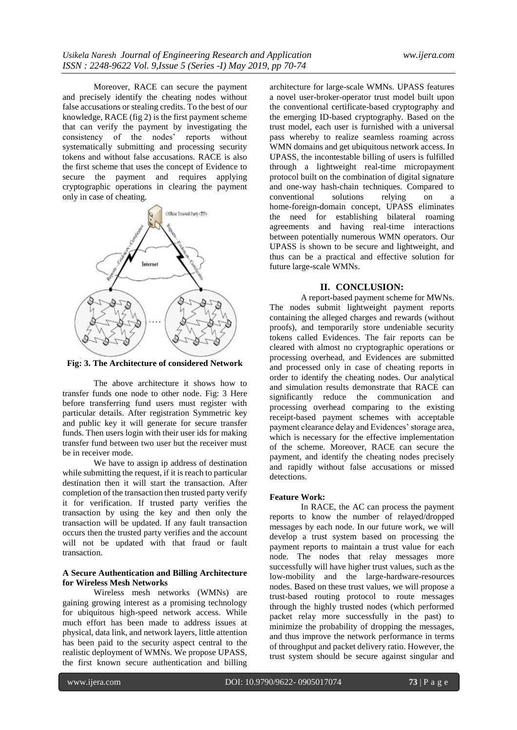Moreover, RACE can secure the payment and precisely identify the cheating nodes without false accusations or stealing credits. To the best of our knowledge, RACE (fig 2) is the first payment scheme that can verify the payment by investigating the consistency of the nodes' reports without systematically submitting and processing security tokens and without false accusations. RACE is also the first scheme that uses the concept of Evidence to secure the payment and requires applying cryptographic operations in clearing the payment only in case of cheating.



**Fig: 3. The Architecture of considered Network**

The above architecture it shows how to transfer funds one node to other node. Fig: 3 Here before transferring fund users must register with particular details. After registration Symmetric key and public key it will generate for secure transfer funds. Then users login with their user ids for making transfer fund between two user but the receiver must be in receiver mode.

We have to assign ip address of destination while submitting the request, if it is reach to particular destination then it will start the transaction. After completion of the transaction then trusted party verify it for verification. If trusted party verifies the transaction by using the key and then only the transaction will be updated. If any fault transaction occurs then the trusted party verifies and the account will not be updated with that fraud or fault transaction.

## **A Secure Authentication and Billing Architecture for Wireless Mesh Networks**

Wireless mesh networks (WMNs) are gaining growing interest as a promising technology for ubiquitous high-speed network access. While much effort has been made to address issues at physical, data link, and network layers, little attention has been paid to the security aspect central to the realistic deployment of WMNs. We propose UPASS, the first known secure authentication and billing

architecture for large-scale WMNs. UPASS features a novel user-broker-operator trust model built upon the conventional certificate-based cryptography and the emerging ID-based cryptography. Based on the trust model, each user is furnished with a universal pass whereby to realize seamless roaming across WMN domains and get ubiquitous network access. In UPASS, the incontestable billing of users is fulfilled through a lightweight real-time micropayment protocol built on the combination of digital signature and one-way hash-chain techniques. Compared to conventional solutions relying on a home-foreign-domain concept, UPASS eliminates the need for establishing bilateral roaming agreements and having real-time interactions between potentially numerous WMN operators. Our UPASS is shown to be secure and lightweight, and thus can be a practical and effective solution for future large-scale WMNs.

## **II. CONCLUSION:**

A report-based payment scheme for MWNs. The nodes submit lightweight payment reports containing the alleged charges and rewards (without proofs), and temporarily store undeniable security tokens called Evidences. The fair reports can be cleared with almost no cryptographic operations or processing overhead, and Evidences are submitted and processed only in case of cheating reports in order to identify the cheating nodes. Our analytical and simulation results demonstrate that RACE can significantly reduce the communication and processing overhead comparing to the existing receipt-based payment schemes with acceptable payment clearance delay and Evidences' storage area, which is necessary for the effective implementation of the scheme. Moreover, RACE can secure the payment, and identify the cheating nodes precisely and rapidly without false accusations or missed detections.

## **Feature Work:**

In RACE, the AC can process the payment reports to know the number of relayed/dropped messages by each node. In our future work, we will develop a trust system based on processing the payment reports to maintain a trust value for each node. The nodes that relay messages more successfully will have higher trust values, such as the low-mobility and the large-hardware-resources nodes. Based on these trust values, we will propose a trust-based routing protocol to route messages through the highly trusted nodes (which performed packet relay more successfully in the past) to minimize the probability of dropping the messages, and thus improve the network performance in terms of throughput and packet delivery ratio. However, the trust system should be secure against singular and